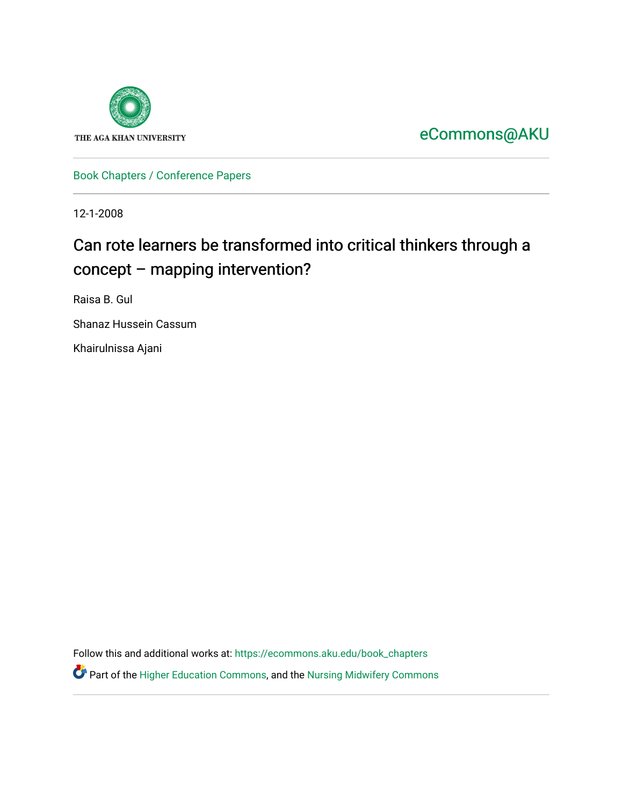

[eCommons@AKU](https://ecommons.aku.edu/) 

[Book Chapters / Conference Papers](https://ecommons.aku.edu/book_chapters) 

12-1-2008

# Can rote learners be transformed into critical thinkers through a concept – mapping intervention?

Raisa B. Gul

Shanaz Hussein Cassum

Khairulnissa Ajani

Follow this and additional works at: [https://ecommons.aku.edu/book\\_chapters](https://ecommons.aku.edu/book_chapters?utm_source=ecommons.aku.edu%2Fbook_chapters%2F362&utm_medium=PDF&utm_campaign=PDFCoverPages) 

Part of the [Higher Education Commons,](http://network.bepress.com/hgg/discipline/1245?utm_source=ecommons.aku.edu%2Fbook_chapters%2F362&utm_medium=PDF&utm_campaign=PDFCoverPages) and the [Nursing Midwifery Commons](http://network.bepress.com/hgg/discipline/722?utm_source=ecommons.aku.edu%2Fbook_chapters%2F362&utm_medium=PDF&utm_campaign=PDFCoverPages)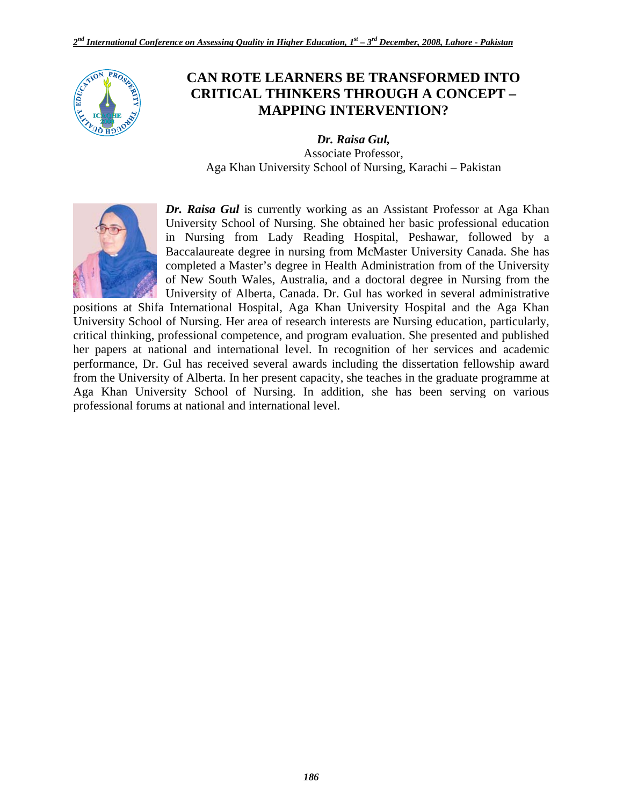

## **CAN ROTE LEARNERS BE TRANSFORMED INTO CRITICAL THINKERS THROUGH A CONCEPT – MAPPING INTERVENTION?**

*Dr. Raisa Gul,*  Associate Professor, Aga Khan University School of Nursing, Karachi – Pakistan



*Dr. Raisa Gul* is currently working as an Assistant Professor at Aga Khan University School of Nursing. She obtained her basic professional education in Nursing from Lady Reading Hospital, Peshawar, followed by a Baccalaureate degree in nursing from McMaster University Canada. She has completed a Master's degree in Health Administration from of the University of New South Wales, Australia, and a doctoral degree in Nursing from the University of Alberta, Canada. Dr. Gul has worked in several administrative

positions at Shifa International Hospital, Aga Khan University Hospital and the Aga Khan University School of Nursing. Her area of research interests are Nursing education, particularly, critical thinking, professional competence, and program evaluation. She presented and published her papers at national and international level. In recognition of her services and academic performance, Dr. Gul has received several awards including the dissertation fellowship award from the University of Alberta. In her present capacity, she teaches in the graduate programme at Aga Khan University School of Nursing. In addition, she has been serving on various professional forums at national and international level.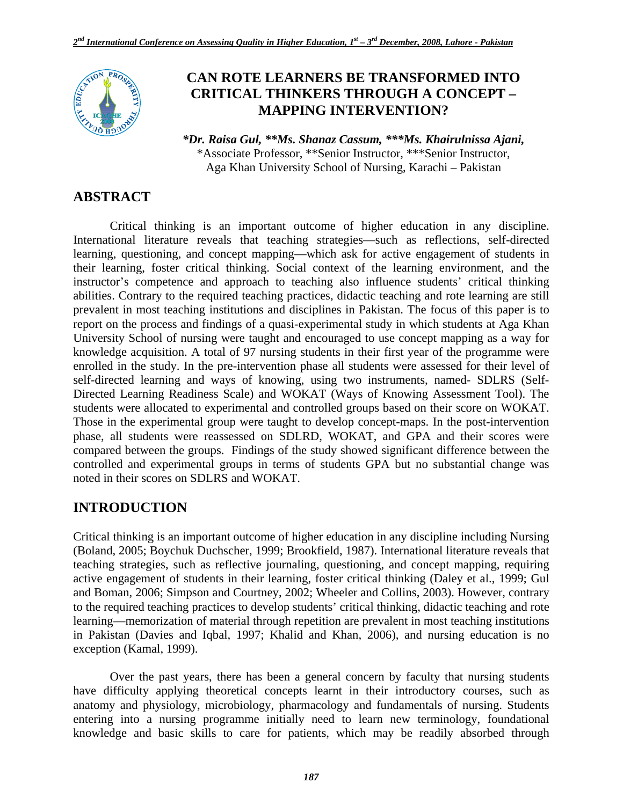

## **CAN ROTE LEARNERS BE TRANSFORMED INTO CRITICAL THINKERS THROUGH A CONCEPT – MAPPING INTERVENTION?**

*\*Dr. Raisa Gul, \*\*Ms. Shanaz Cassum, \*\*\*Ms. Khairulnissa Ajani,*  \*Associate Professor, \*\*Senior Instructor, \*\*\*Senior Instructor, Aga Khan University School of Nursing, Karachi – Pakistan

## **ABSTRACT**

Critical thinking is an important outcome of higher education in any discipline. International literature reveals that teaching strategies—such as reflections, self-directed learning, questioning, and concept mapping—which ask for active engagement of students in their learning, foster critical thinking. Social context of the learning environment, and the instructor's competence and approach to teaching also influence students' critical thinking abilities. Contrary to the required teaching practices, didactic teaching and rote learning are still prevalent in most teaching institutions and disciplines in Pakistan. The focus of this paper is to report on the process and findings of a quasi-experimental study in which students at Aga Khan University School of nursing were taught and encouraged to use concept mapping as a way for knowledge acquisition. A total of 97 nursing students in their first year of the programme were enrolled in the study. In the pre-intervention phase all students were assessed for their level of self-directed learning and ways of knowing, using two instruments, named- SDLRS (Self-Directed Learning Readiness Scale) and WOKAT (Ways of Knowing Assessment Tool). The students were allocated to experimental and controlled groups based on their score on WOKAT. Those in the experimental group were taught to develop concept-maps. In the post-intervention phase, all students were reassessed on SDLRD, WOKAT, and GPA and their scores were compared between the groups. Findings of the study showed significant difference between the controlled and experimental groups in terms of students GPA but no substantial change was noted in their scores on SDLRS and WOKAT.

## **INTRODUCTION**

Critical thinking is an important outcome of higher education in any discipline including Nursing (Boland, 2005; Boychuk Duchscher, 1999; Brookfield, 1987). International literature reveals that teaching strategies, such as reflective journaling, questioning, and concept mapping, requiring active engagement of students in their learning, foster critical thinking (Daley et al., 1999; Gul and Boman, 2006; Simpson and Courtney, 2002; Wheeler and Collins, 2003). However, contrary to the required teaching practices to develop students' critical thinking, didactic teaching and rote learning—memorization of material through repetition are prevalent in most teaching institutions in Pakistan (Davies and Iqbal, 1997; Khalid and Khan, 2006), and nursing education is no exception (Kamal, 1999).

Over the past years, there has been a general concern by faculty that nursing students have difficulty applying theoretical concepts learnt in their introductory courses, such as anatomy and physiology, microbiology, pharmacology and fundamentals of nursing. Students entering into a nursing programme initially need to learn new terminology, foundational knowledge and basic skills to care for patients, which may be readily absorbed through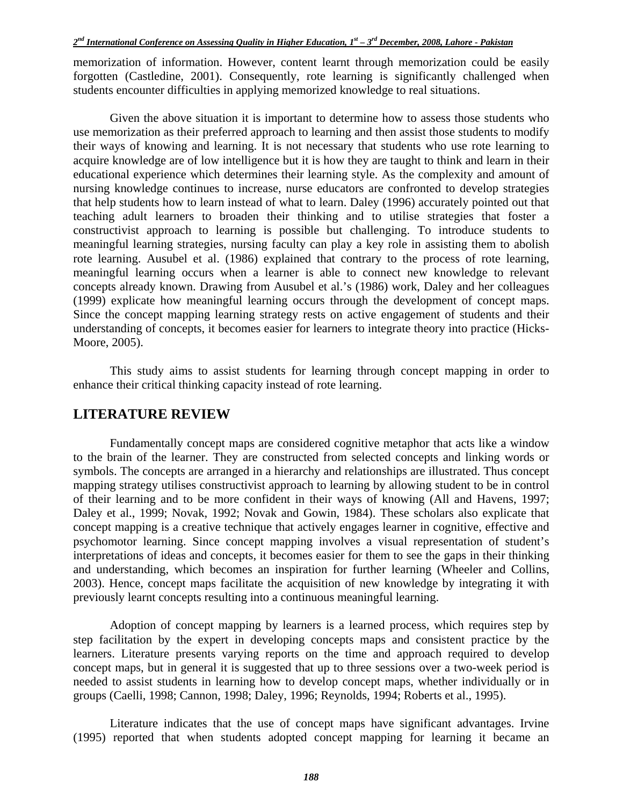memorization of information. However, content learnt through memorization could be easily forgotten (Castledine, 2001). Consequently, rote learning is significantly challenged when students encounter difficulties in applying memorized knowledge to real situations.

Given the above situation it is important to determine how to assess those students who use memorization as their preferred approach to learning and then assist those students to modify their ways of knowing and learning. It is not necessary that students who use rote learning to acquire knowledge are of low intelligence but it is how they are taught to think and learn in their educational experience which determines their learning style. As the complexity and amount of nursing knowledge continues to increase, nurse educators are confronted to develop strategies that help students how to learn instead of what to learn. Daley (1996) accurately pointed out that teaching adult learners to broaden their thinking and to utilise strategies that foster a constructivist approach to learning is possible but challenging. To introduce students to meaningful learning strategies, nursing faculty can play a key role in assisting them to abolish rote learning. Ausubel et al. (1986) explained that contrary to the process of rote learning, meaningful learning occurs when a learner is able to connect new knowledge to relevant concepts already known. Drawing from Ausubel et al.'s (1986) work, Daley and her colleagues (1999) explicate how meaningful learning occurs through the development of concept maps. Since the concept mapping learning strategy rests on active engagement of students and their understanding of concepts, it becomes easier for learners to integrate theory into practice (Hicks-Moore, 2005).

This study aims to assist students for learning through concept mapping in order to enhance their critical thinking capacity instead of rote learning.

## **LITERATURE REVIEW**

Fundamentally concept maps are considered cognitive metaphor that acts like a window to the brain of the learner. They are constructed from selected concepts and linking words or symbols. The concepts are arranged in a hierarchy and relationships are illustrated. Thus concept mapping strategy utilises constructivist approach to learning by allowing student to be in control of their learning and to be more confident in their ways of knowing (All and Havens, 1997; Daley et al., 1999; Novak, 1992; Novak and Gowin, 1984). These scholars also explicate that concept mapping is a creative technique that actively engages learner in cognitive, effective and psychomotor learning. Since concept mapping involves a visual representation of student's interpretations of ideas and concepts, it becomes easier for them to see the gaps in their thinking and understanding, which becomes an inspiration for further learning (Wheeler and Collins, 2003). Hence, concept maps facilitate the acquisition of new knowledge by integrating it with previously learnt concepts resulting into a continuous meaningful learning.

Adoption of concept mapping by learners is a learned process, which requires step by step facilitation by the expert in developing concepts maps and consistent practice by the learners. Literature presents varying reports on the time and approach required to develop concept maps, but in general it is suggested that up to three sessions over a two-week period is needed to assist students in learning how to develop concept maps, whether individually or in groups (Caelli, 1998; Cannon, 1998; Daley, 1996; Reynolds, 1994; Roberts et al., 1995).

Literature indicates that the use of concept maps have significant advantages. Irvine (1995) reported that when students adopted concept mapping for learning it became an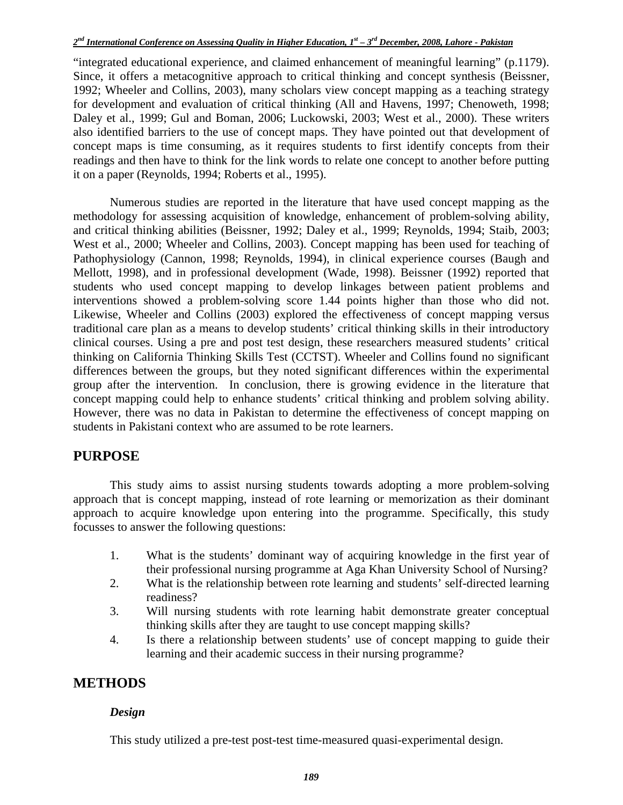"integrated educational experience, and claimed enhancement of meaningful learning" (p.1179). Since, it offers a metacognitive approach to critical thinking and concept synthesis (Beissner, 1992; Wheeler and Collins, 2003), many scholars view concept mapping as a teaching strategy for development and evaluation of critical thinking (All and Havens, 1997; Chenoweth, 1998; Daley et al., 1999; Gul and Boman, 2006; Luckowski, 2003; West et al., 2000). These writers also identified barriers to the use of concept maps. They have pointed out that development of concept maps is time consuming, as it requires students to first identify concepts from their readings and then have to think for the link words to relate one concept to another before putting it on a paper (Reynolds, 1994; Roberts et al., 1995).

Numerous studies are reported in the literature that have used concept mapping as the methodology for assessing acquisition of knowledge, enhancement of problem-solving ability, and critical thinking abilities (Beissner, 1992; Daley et al., 1999; Reynolds, 1994; Staib, 2003; West et al., 2000; Wheeler and Collins, 2003). Concept mapping has been used for teaching of Pathophysiology (Cannon, 1998; Reynolds, 1994), in clinical experience courses (Baugh and Mellott, 1998), and in professional development (Wade, 1998). Beissner (1992) reported that students who used concept mapping to develop linkages between patient problems and interventions showed a problem-solving score 1.44 points higher than those who did not. Likewise, Wheeler and Collins (2003) explored the effectiveness of concept mapping versus traditional care plan as a means to develop students' critical thinking skills in their introductory clinical courses. Using a pre and post test design, these researchers measured students' critical thinking on California Thinking Skills Test (CCTST). Wheeler and Collins found no significant differences between the groups, but they noted significant differences within the experimental group after the intervention. In conclusion, there is growing evidence in the literature that concept mapping could help to enhance students' critical thinking and problem solving ability. However, there was no data in Pakistan to determine the effectiveness of concept mapping on students in Pakistani context who are assumed to be rote learners.

## **PURPOSE**

This study aims to assist nursing students towards adopting a more problem-solving approach that is concept mapping, instead of rote learning or memorization as their dominant approach to acquire knowledge upon entering into the programme. Specifically, this study focusses to answer the following questions:

- 1. What is the students' dominant way of acquiring knowledge in the first year of their professional nursing programme at Aga Khan University School of Nursing?
- 2. What is the relationship between rote learning and students' self-directed learning readiness?
- 3. Will nursing students with rote learning habit demonstrate greater conceptual thinking skills after they are taught to use concept mapping skills?
- 4. Is there a relationship between students' use of concept mapping to guide their learning and their academic success in their nursing programme?

## **METHODS**

### *Design*

This study utilized a pre-test post-test time-measured quasi-experimental design.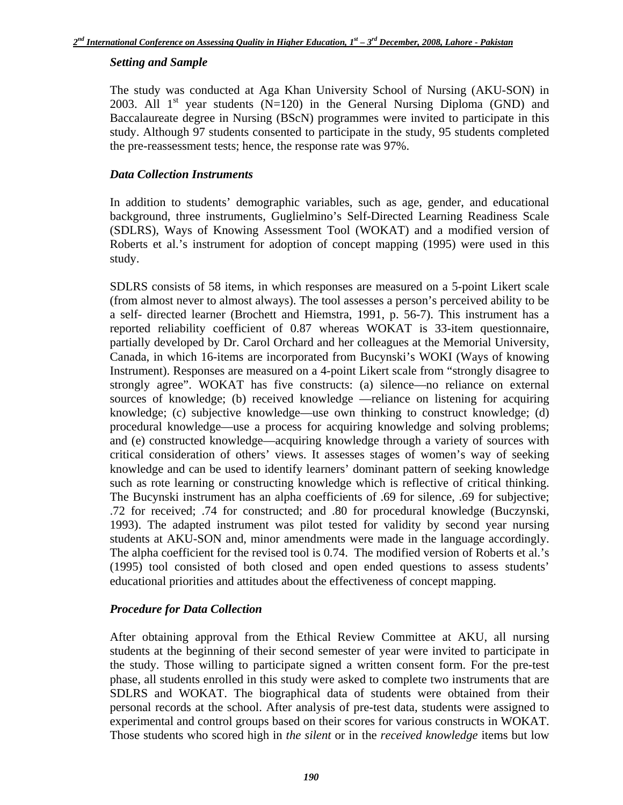### *Setting and Sample*

The study was conducted at Aga Khan University School of Nursing (AKU-SON) in 2003. All  $1<sup>st</sup>$  year students (N=120) in the General Nursing Diploma (GND) and Baccalaureate degree in Nursing (BScN) programmes were invited to participate in this study. Although 97 students consented to participate in the study, 95 students completed the pre-reassessment tests; hence, the response rate was 97%.

### *Data Collection Instruments*

In addition to students' demographic variables, such as age, gender, and educational background, three instruments, Guglielmino's Self-Directed Learning Readiness Scale (SDLRS), Ways of Knowing Assessment Tool (WOKAT) and a modified version of Roberts et al.'s instrument for adoption of concept mapping (1995) were used in this study.

SDLRS consists of 58 items, in which responses are measured on a 5-point Likert scale (from almost never to almost always). The tool assesses a person's perceived ability to be a self- directed learner (Brochett and Hiemstra, 1991, p. 56-7). This instrument has a reported reliability coefficient of 0.87 whereas WOKAT is 33-item questionnaire, partially developed by Dr. Carol Orchard and her colleagues at the Memorial University, Canada, in which 16-items are incorporated from Bucynski's WOKI (Ways of knowing Instrument). Responses are measured on a 4-point Likert scale from "strongly disagree to strongly agree". WOKAT has five constructs: (a) silence—no reliance on external sources of knowledge; (b) received knowledge —reliance on listening for acquiring knowledge; (c) subjective knowledge—use own thinking to construct knowledge; (d) procedural knowledge—use a process for acquiring knowledge and solving problems; and (e) constructed knowledge—acquiring knowledge through a variety of sources with critical consideration of others' views. It assesses stages of women's way of seeking knowledge and can be used to identify learners' dominant pattern of seeking knowledge such as rote learning or constructing knowledge which is reflective of critical thinking. The Bucynski instrument has an alpha coefficients of .69 for silence, .69 for subjective; .72 for received; .74 for constructed; and .80 for procedural knowledge (Buczynski, 1993). The adapted instrument was pilot tested for validity by second year nursing students at AKU-SON and, minor amendments were made in the language accordingly. The alpha coefficient for the revised tool is 0.74. The modified version of Roberts et al.'s (1995) tool consisted of both closed and open ended questions to assess students' educational priorities and attitudes about the effectiveness of concept mapping.

### *Procedure for Data Collection*

After obtaining approval from the Ethical Review Committee at AKU, all nursing students at the beginning of their second semester of year were invited to participate in the study. Those willing to participate signed a written consent form. For the pre-test phase, all students enrolled in this study were asked to complete two instruments that are SDLRS and WOKAT. The biographical data of students were obtained from their personal records at the school. After analysis of pre-test data, students were assigned to experimental and control groups based on their scores for various constructs in WOKAT. Those students who scored high in *the silent* or in the *received knowledge* items but low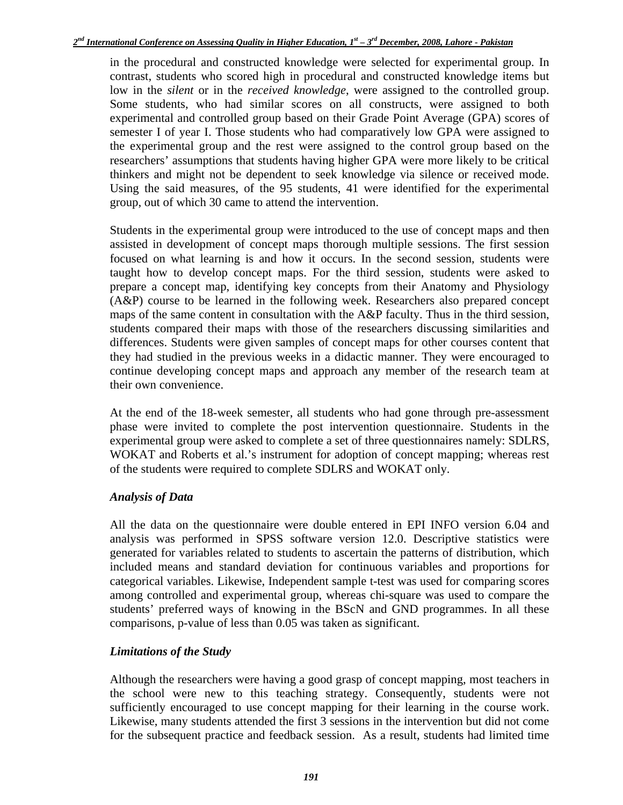in the procedural and constructed knowledge were selected for experimental group. In contrast, students who scored high in procedural and constructed knowledge items but low in the *silent* or in the *received knowledge*, were assigned to the controlled group. Some students, who had similar scores on all constructs, were assigned to both experimental and controlled group based on their Grade Point Average (GPA) scores of semester I of year I. Those students who had comparatively low GPA were assigned to the experimental group and the rest were assigned to the control group based on the researchers' assumptions that students having higher GPA were more likely to be critical thinkers and might not be dependent to seek knowledge via silence or received mode. Using the said measures, of the 95 students, 41 were identified for the experimental group, out of which 30 came to attend the intervention.

Students in the experimental group were introduced to the use of concept maps and then assisted in development of concept maps thorough multiple sessions. The first session focused on what learning is and how it occurs. In the second session, students were taught how to develop concept maps. For the third session, students were asked to prepare a concept map, identifying key concepts from their Anatomy and Physiology (A&P) course to be learned in the following week. Researchers also prepared concept maps of the same content in consultation with the  $A\&P$  faculty. Thus in the third session, students compared their maps with those of the researchers discussing similarities and differences. Students were given samples of concept maps for other courses content that they had studied in the previous weeks in a didactic manner. They were encouraged to continue developing concept maps and approach any member of the research team at their own convenience.

At the end of the 18-week semester, all students who had gone through pre-assessment phase were invited to complete the post intervention questionnaire. Students in the experimental group were asked to complete a set of three questionnaires namely: SDLRS, WOKAT and Roberts et al.'s instrument for adoption of concept mapping; whereas rest of the students were required to complete SDLRS and WOKAT only.

### *Analysis of Data*

All the data on the questionnaire were double entered in EPI INFO version 6.04 and analysis was performed in SPSS software version 12.0. Descriptive statistics were generated for variables related to students to ascertain the patterns of distribution, which included means and standard deviation for continuous variables and proportions for categorical variables. Likewise, Independent sample t-test was used for comparing scores among controlled and experimental group, whereas chi-square was used to compare the students' preferred ways of knowing in the BScN and GND programmes. In all these comparisons, p-value of less than 0.05 was taken as significant.

### *Limitations of the Study*

Although the researchers were having a good grasp of concept mapping, most teachers in the school were new to this teaching strategy. Consequently, students were not sufficiently encouraged to use concept mapping for their learning in the course work. Likewise, many students attended the first 3 sessions in the intervention but did not come for the subsequent practice and feedback session. As a result, students had limited time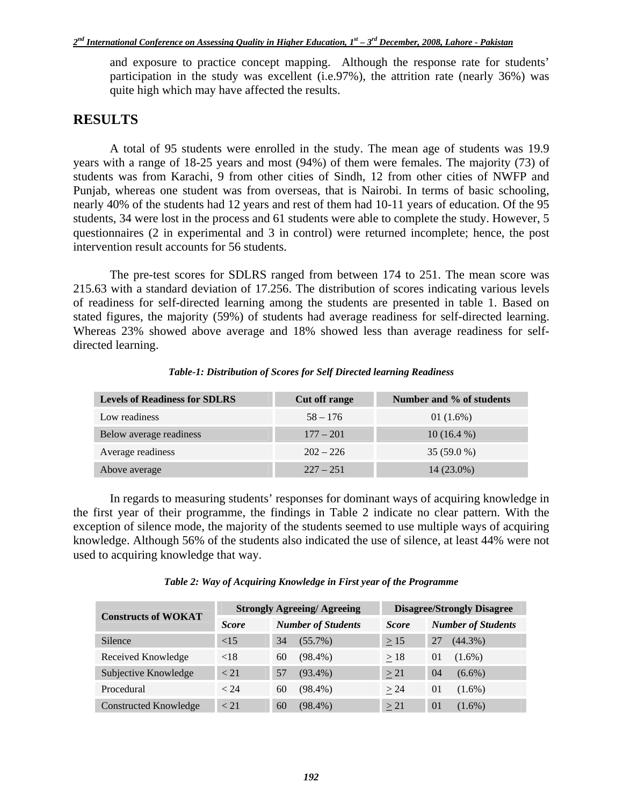and exposure to practice concept mapping. Although the response rate for students' participation in the study was excellent (i.e.97%), the attrition rate (nearly 36%) was quite high which may have affected the results.

## **RESULTS**

A total of 95 students were enrolled in the study. The mean age of students was 19.9 years with a range of 18-25 years and most (94%) of them were females. The majority (73) of students was from Karachi, 9 from other cities of Sindh, 12 from other cities of NWFP and Punjab, whereas one student was from overseas, that is Nairobi. In terms of basic schooling, nearly 40% of the students had 12 years and rest of them had 10-11 years of education. Of the 95 students, 34 were lost in the process and 61 students were able to complete the study. However, 5 questionnaires (2 in experimental and 3 in control) were returned incomplete; hence, the post intervention result accounts for 56 students.

The pre-test scores for SDLRS ranged from between 174 to 251. The mean score was 215.63 with a standard deviation of 17.256. The distribution of scores indicating various levels of readiness for self-directed learning among the students are presented in table 1. Based on stated figures, the majority (59%) of students had average readiness for self-directed learning. Whereas 23% showed above average and 18% showed less than average readiness for selfdirected learning.

| <b>Levels of Readiness for SDLRS</b> | Cut off range | Number and % of students |
|--------------------------------------|---------------|--------------------------|
| Low readiness                        | $58 - 176$    | 01 $(1.6\%)$             |
| Below average readiness              | $177 - 201$   | $10(16.4\%)$             |
| Average readiness                    | $202 - 226$   | $35(59.0\%)$             |
| Above average                        | $227 - 251$   | 14 (23.0%)               |

*Table-1: Distribution of Scores for Self Directed learning Readiness*

In regards to measuring students' responses for dominant ways of acquiring knowledge in the first year of their programme, the findings in Table 2 indicate no clear pattern. With the exception of silence mode, the majority of the students seemed to use multiple ways of acquiring knowledge. Although 56% of the students also indicated the use of silence, at least 44% were not used to acquiring knowledge that way.

| <b>Constructs of WOKAT</b>   |              | <b>Strongly Agreeing/ Agreeing</b> | <b>Disagree/Strongly Disagree</b> |                           |  |
|------------------------------|--------------|------------------------------------|-----------------------------------|---------------------------|--|
|                              | <b>Score</b> | <b>Number of Students</b>          | <b>Score</b>                      | <b>Number of Students</b> |  |
| Silence                      | ${<}15$      | $(55.7\%)$<br>34                   | $\geq$ 15                         | $(44.3\%)$<br>27          |  |
| Received Knowledge           | ${<}18$      | $(98.4\%)$<br>60                   | $\geq$ 18                         | $(1.6\%)$<br>01           |  |
| Subjective Knowledge         | < 21         | $(93.4\%)$<br>57                   | >21                               | 04<br>$(6.6\%)$           |  |
| Procedural                   | < 24         | $(98.4\%)$<br>60                   | > 24                              | $(1.6\%)$<br>01           |  |
| <b>Constructed Knowledge</b> | < 21         | $(98.4\%)$<br>60                   | $\geq$ 21                         | $\Omega$<br>$(1.6\%)$     |  |

#### *Table 2: Way of Acquiring Knowledge in First year of the Programme*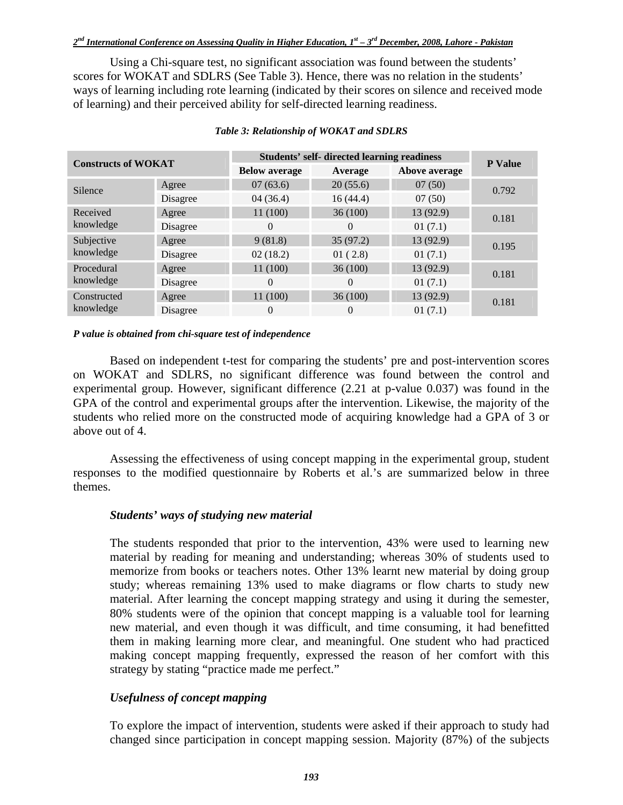Using a Chi-square test, no significant association was found between the students' scores for WOKAT and SDLRS (See Table 3). Hence, there was no relation in the students' ways of learning including rote learning (indicated by their scores on silence and received mode of learning) and their perceived ability for self-directed learning readiness.

| <b>Constructs of WOKAT</b> |          | <b>Students' self- directed learning readiness</b> | <b>P</b> Value |               |       |  |
|----------------------------|----------|----------------------------------------------------|----------------|---------------|-------|--|
|                            |          | <b>Below average</b>                               | Average        | Above average |       |  |
| Silence                    | Agree    | 07(63.6)                                           | 20(55.6)       | 07(50)        | 0.792 |  |
|                            | Disagree | 04(36.4)                                           | 16(44.4)       | 07(50)        |       |  |
| Received<br>knowledge      | Agree    | 11 (100)                                           | 36(100)        | 13 (92.9)     | 0.181 |  |
|                            | Disagree | $\Omega$                                           | $\Omega$       | 01(7.1)       |       |  |
| Subjective<br>knowledge    | Agree    | 9(81.8)                                            | 35(97.2)       | 13 (92.9)     | 0.195 |  |
|                            | Disagree | 02(18.2)                                           | 01(2.8)        | 01(7.1)       |       |  |
| Procedural<br>knowledge    | Agree    | 11 (100)                                           | 36(100)        | 13(92.9)      | 0.181 |  |
|                            | Disagree | $\Omega$                                           | $\Omega$       | 01(7.1)       |       |  |
| Constructed<br>knowledge   | Agree    | 11(100)                                            | 36(100)        | 13(92.9)      | 0.181 |  |
|                            | Disagree | 0                                                  | $\Omega$       | 01(7.1)       |       |  |

#### *Table 3: Relationship of WOKAT and SDLRS*

#### *P value is obtained from chi-square test of independence*

Based on independent t-test for comparing the students' pre and post-intervention scores on WOKAT and SDLRS, no significant difference was found between the control and experimental group. However, significant difference (2.21 at p-value 0.037) was found in the GPA of the control and experimental groups after the intervention. Likewise, the majority of the students who relied more on the constructed mode of acquiring knowledge had a GPA of 3 or above out of 4.

Assessing the effectiveness of using concept mapping in the experimental group, student responses to the modified questionnaire by Roberts et al.'s are summarized below in three themes.

#### *Students' ways of studying new material*

The students responded that prior to the intervention, 43% were used to learning new material by reading for meaning and understanding; whereas 30% of students used to memorize from books or teachers notes. Other 13% learnt new material by doing group study; whereas remaining 13% used to make diagrams or flow charts to study new material. After learning the concept mapping strategy and using it during the semester, 80% students were of the opinion that concept mapping is a valuable tool for learning new material, and even though it was difficult, and time consuming, it had benefitted them in making learning more clear, and meaningful. One student who had practiced making concept mapping frequently, expressed the reason of her comfort with this strategy by stating "practice made me perfect."

### *Usefulness of concept mapping*

To explore the impact of intervention, students were asked if their approach to study had changed since participation in concept mapping session. Majority (87%) of the subjects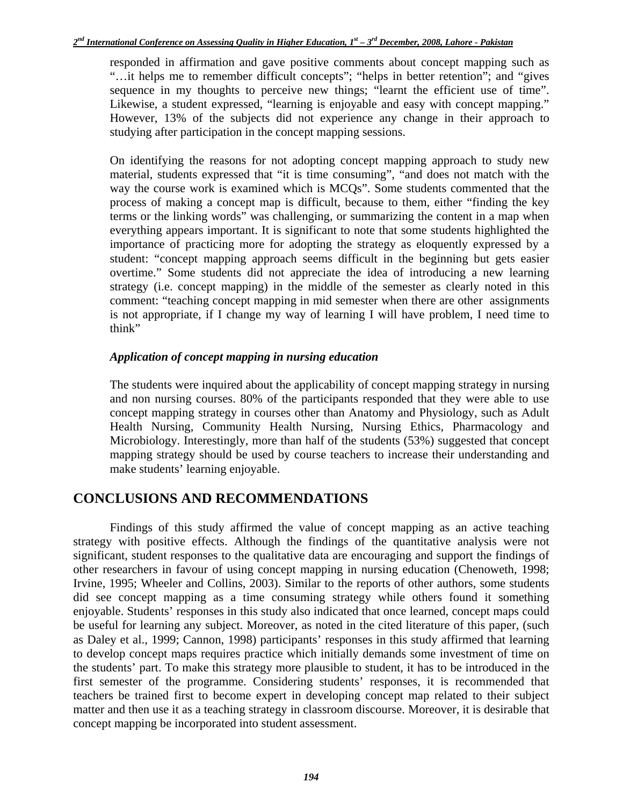responded in affirmation and gave positive comments about concept mapping such as "…it helps me to remember difficult concepts"; "helps in better retention"; and "gives sequence in my thoughts to perceive new things; "learnt the efficient use of time". Likewise, a student expressed, "learning is enjoyable and easy with concept mapping." However, 13% of the subjects did not experience any change in their approach to studying after participation in the concept mapping sessions.

On identifying the reasons for not adopting concept mapping approach to study new material, students expressed that "it is time consuming", "and does not match with the way the course work is examined which is MCQs". Some students commented that the process of making a concept map is difficult, because to them, either "finding the key terms or the linking words" was challenging, or summarizing the content in a map when everything appears important. It is significant to note that some students highlighted the importance of practicing more for adopting the strategy as eloquently expressed by a student: "concept mapping approach seems difficult in the beginning but gets easier overtime." Some students did not appreciate the idea of introducing a new learning strategy (i.e. concept mapping) in the middle of the semester as clearly noted in this comment: "teaching concept mapping in mid semester when there are other assignments is not appropriate, if I change my way of learning I will have problem, I need time to think"

### *Application of concept mapping in nursing education*

The students were inquired about the applicability of concept mapping strategy in nursing and non nursing courses. 80% of the participants responded that they were able to use concept mapping strategy in courses other than Anatomy and Physiology, such as Adult Health Nursing, Community Health Nursing, Nursing Ethics, Pharmacology and Microbiology. Interestingly, more than half of the students (53%) suggested that concept mapping strategy should be used by course teachers to increase their understanding and make students' learning enjoyable.

## **CONCLUSIONS AND RECOMMENDATIONS**

Findings of this study affirmed the value of concept mapping as an active teaching strategy with positive effects. Although the findings of the quantitative analysis were not significant, student responses to the qualitative data are encouraging and support the findings of other researchers in favour of using concept mapping in nursing education (Chenoweth, 1998; Irvine, 1995; Wheeler and Collins, 2003). Similar to the reports of other authors, some students did see concept mapping as a time consuming strategy while others found it something enjoyable. Students' responses in this study also indicated that once learned, concept maps could be useful for learning any subject. Moreover, as noted in the cited literature of this paper, (such as Daley et al., 1999; Cannon, 1998) participants' responses in this study affirmed that learning to develop concept maps requires practice which initially demands some investment of time on the students' part. To make this strategy more plausible to student, it has to be introduced in the first semester of the programme. Considering students' responses, it is recommended that teachers be trained first to become expert in developing concept map related to their subject matter and then use it as a teaching strategy in classroom discourse. Moreover, it is desirable that concept mapping be incorporated into student assessment.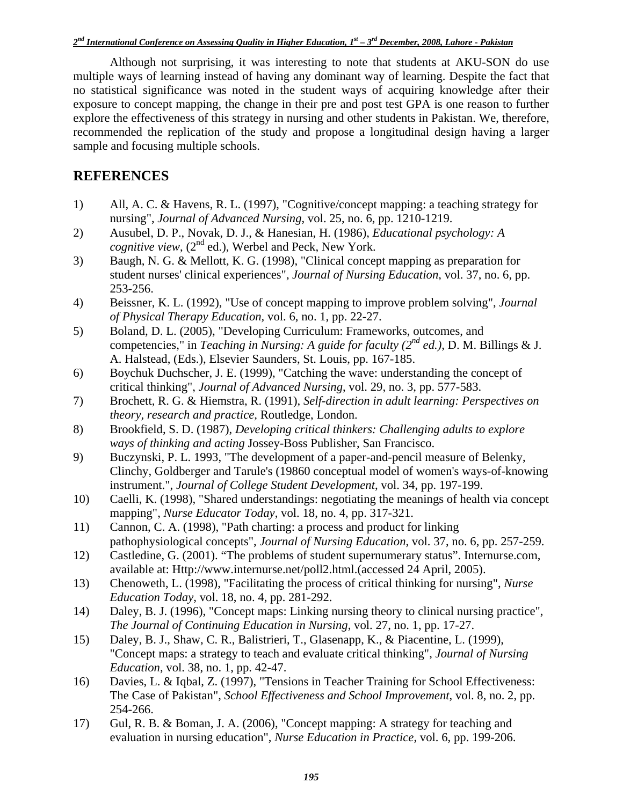Although not surprising, it was interesting to note that students at AKU-SON do use multiple ways of learning instead of having any dominant way of learning. Despite the fact that no statistical significance was noted in the student ways of acquiring knowledge after their exposure to concept mapping, the change in their pre and post test GPA is one reason to further explore the effectiveness of this strategy in nursing and other students in Pakistan. We, therefore, recommended the replication of the study and propose a longitudinal design having a larger sample and focusing multiple schools.

## **REFERENCES**

- 1) All, A. C. & Havens, R. L. (1997), "Cognitive/concept mapping: a teaching strategy for nursing", *Journal of Advanced Nursing*, vol. 25, no. 6, pp. 1210-1219.
- 2) Ausubel, D. P., Novak, D. J., & Hanesian, H. (1986), *Educational psychology: A cognitive view*,  $(2^{nd}$  ed.), Werbel and Peck, New York.
- 3) Baugh, N. G. & Mellott, K. G. (1998), "Clinical concept mapping as preparation for student nurses' clinical experiences", *Journal of Nursing Education*, vol. 37, no. 6, pp. 253-256.
- 4) Beissner, K. L. (1992), "Use of concept mapping to improve problem solving", *Journal of Physical Therapy Education,* vol. 6, no. 1, pp. 22-27.
- 5) Boland, D. L. (2005), "Developing Curriculum: Frameworks, outcomes, and competencies," in *Teaching in Nursing: A guide for faculty (2nd ed.)*, D. M. Billings & J. A. Halstead, (Eds.), Elsevier Saunders, St. Louis, pp. 167-185.
- 6) Boychuk Duchscher, J. E. (1999), "Catching the wave: understanding the concept of critical thinking", *Journal of Advanced Nursing*, vol. 29, no. 3, pp. 577-583.
- 7) Brochett, R. G. & Hiemstra, R. (1991), *Self-direction in adult learning: Perspectives on theory, research and practice,* Routledge, London.
- 8) Brookfield, S. D. (1987), *Developing critical thinkers: Challenging adults to explore ways of thinking and acting* Jossey-Boss Publisher, San Francisco.
- 9) Buczynski, P. L. 1993, "The development of a paper-and-pencil measure of Belenky, Clinchy, Goldberger and Tarule's (19860 conceptual model of women's ways-of-knowing instrument.", *Journal of College Student Development*, vol. 34, pp. 197-199.
- 10) Caelli, K. (1998), "Shared understandings: negotiating the meanings of health via concept mapping", *Nurse Educator Today*, vol. 18, no. 4, pp. 317-321.
- 11) Cannon, C. A. (1998), "Path charting: a process and product for linking pathophysiological concepts", *Journal of Nursing Education*, vol. 37, no. 6, pp. 257-259.
- 12) Castledine, G. (2001). "The problems of student supernumerary status". Internurse.com, available at: Http://www.internurse.net/poll2.html.(accessed 24 April, 2005).
- 13) Chenoweth, L. (1998), "Facilitating the process of critical thinking for nursing", *Nurse Education Today*, vol. 18, no. 4, pp. 281-292.
- 14) Daley, B. J. (1996), "Concept maps: Linking nursing theory to clinical nursing practice", *The Journal of Continuing Education in Nursing*, vol. 27, no. 1, pp. 17-27.
- 15) Daley, B. J., Shaw, C. R., Balistrieri, T., Glasenapp, K., & Piacentine, L. (1999), "Concept maps: a strategy to teach and evaluate critical thinking", *Journal of Nursing Education*, vol. 38, no. 1, pp. 42-47.
- 16) Davies, L. & Iqbal, Z. (1997), "Tensions in Teacher Training for School Effectiveness: The Case of Pakistan", *School Effectiveness and School Improvement*, vol. 8, no. 2, pp. 254-266.
- 17) Gul, R. B. & Boman, J. A. (2006), "Concept mapping: A strategy for teaching and evaluation in nursing education", *Nurse Education in Practice*, vol. 6, pp. 199-206.